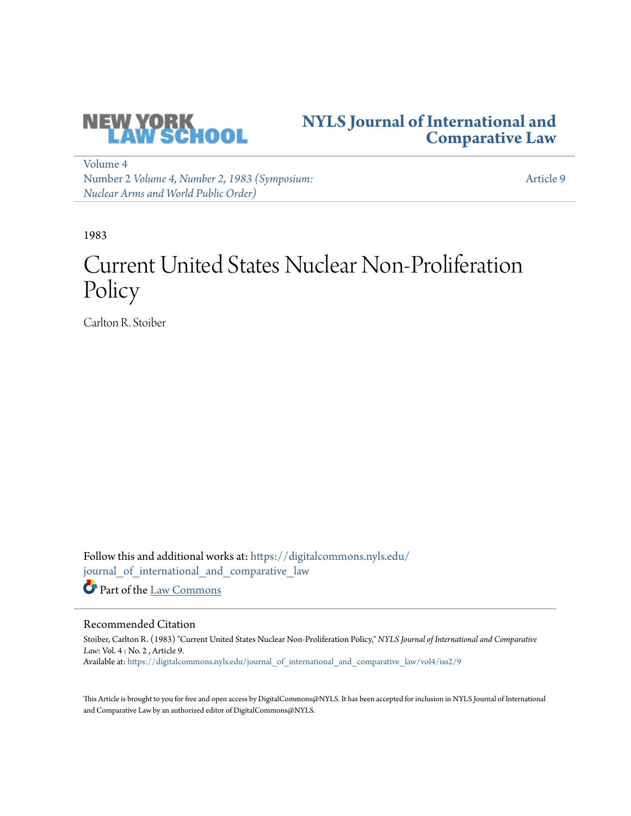

## **[NYLS Journal of International and](https://digitalcommons.nyls.edu/journal_of_international_and_comparative_law?utm_source=digitalcommons.nyls.edu%2Fjournal_of_international_and_comparative_law%2Fvol4%2Fiss2%2F9&utm_medium=PDF&utm_campaign=PDFCoverPages) [Comparative Law](https://digitalcommons.nyls.edu/journal_of_international_and_comparative_law?utm_source=digitalcommons.nyls.edu%2Fjournal_of_international_and_comparative_law%2Fvol4%2Fiss2%2F9&utm_medium=PDF&utm_campaign=PDFCoverPages)**

[Volume 4](https://digitalcommons.nyls.edu/journal_of_international_and_comparative_law/vol4?utm_source=digitalcommons.nyls.edu%2Fjournal_of_international_and_comparative_law%2Fvol4%2Fiss2%2F9&utm_medium=PDF&utm_campaign=PDFCoverPages) Number 2 *[Volume 4, Number 2, 1983 \(Symposium:](https://digitalcommons.nyls.edu/journal_of_international_and_comparative_law/vol4/iss2?utm_source=digitalcommons.nyls.edu%2Fjournal_of_international_and_comparative_law%2Fvol4%2Fiss2%2F9&utm_medium=PDF&utm_campaign=PDFCoverPages) [Nuclear Arms and World Public Order\)](https://digitalcommons.nyls.edu/journal_of_international_and_comparative_law/vol4/iss2?utm_source=digitalcommons.nyls.edu%2Fjournal_of_international_and_comparative_law%2Fvol4%2Fiss2%2F9&utm_medium=PDF&utm_campaign=PDFCoverPages)*

[Article 9](https://digitalcommons.nyls.edu/journal_of_international_and_comparative_law/vol4/iss2/9?utm_source=digitalcommons.nyls.edu%2Fjournal_of_international_and_comparative_law%2Fvol4%2Fiss2%2F9&utm_medium=PDF&utm_campaign=PDFCoverPages)

1983

# Current United States Nuclear Non-Proliferation Policy

Carlton R. Stoiber

Follow this and additional works at: [https://digitalcommons.nyls.edu/](https://digitalcommons.nyls.edu/journal_of_international_and_comparative_law?utm_source=digitalcommons.nyls.edu%2Fjournal_of_international_and_comparative_law%2Fvol4%2Fiss2%2F9&utm_medium=PDF&utm_campaign=PDFCoverPages) [journal\\_of\\_international\\_and\\_comparative\\_law](https://digitalcommons.nyls.edu/journal_of_international_and_comparative_law?utm_source=digitalcommons.nyls.edu%2Fjournal_of_international_and_comparative_law%2Fvol4%2Fiss2%2F9&utm_medium=PDF&utm_campaign=PDFCoverPages) Part of the [Law Commons](http://network.bepress.com/hgg/discipline/578?utm_source=digitalcommons.nyls.edu%2Fjournal_of_international_and_comparative_law%2Fvol4%2Fiss2%2F9&utm_medium=PDF&utm_campaign=PDFCoverPages)

#### Recommended Citation

Stoiber, Carlton R. (1983) "Current United States Nuclear Non-Proliferation Policy," *NYLS Journal of International and Comparative Law*: Vol. 4 : No. 2 , Article 9. Available at: [https://digitalcommons.nyls.edu/journal\\_of\\_international\\_and\\_comparative\\_law/vol4/iss2/9](https://digitalcommons.nyls.edu/journal_of_international_and_comparative_law/vol4/iss2/9?utm_source=digitalcommons.nyls.edu%2Fjournal_of_international_and_comparative_law%2Fvol4%2Fiss2%2F9&utm_medium=PDF&utm_campaign=PDFCoverPages)

This Article is brought to you for free and open access by DigitalCommons@NYLS. It has been accepted for inclusion in NYLS Journal of International and Comparative Law by an authorized editor of DigitalCommons@NYLS.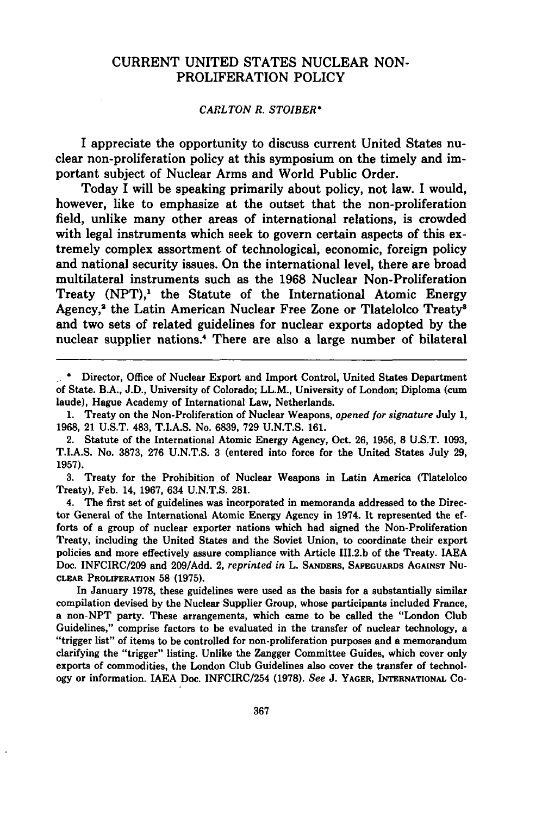### CURRENT UNITED **STATES NUCLEAR NON-**PROLIFERATION POLICY

#### *CARLTON R. STOIBER\**

I appreciate the opportunity to discuss current United States nuclear non-proliferation policy at this symposium on the timely and important subject of Nuclear Arms and World Public Order.

Today I will be speaking primarily about policy, not law. I would, however, like to emphasize at the outset that the non-proliferation field, unlike many other areas of international relations, is crowded with legal instruments which seek to govern certain aspects of this extremely complex assortment of technological, economic, foreign policy and national security issues. On the international level, there are broad multilateral instruments such as the 1968 Nuclear Non-Proliferation Treaty  $(NPT)$ ,<sup>1</sup> the Statute of the International Atomic Energy Agency,<sup>2</sup> the Latin American Nuclear Free Zone or Tlatelolco Treaty<sup>3</sup> and two sets of related guidelines for nuclear exports adopted by the nuclear supplier nations." There are also a large number of bilateral

**3.** Treaty for the Prohibition of Nuclear Weapons in Latin America (Tlatelolco Treaty), Feb. 14, **1967,** 634 U.N.T.S. 281.

4. The first set of guidelines was incorporated in memoranda addressed to the Director General of the International Atomic Energy Agency in 1974. It represented the efforts of a group of nuclear exporter nations which had signed the Non-Proliferation Treaty, including the United States and the Soviet Union, to coordinate their export policies and more effectively assure compliance with Article III.2.b of the Treaty. IAEA Doc. INFCIRC/209 and 209/Add. 2, *reprinted in* L. **SANDERS,** SAFEGUARDS **AGAINST Nu-CLEAR PROLIFERATION** 58 **(1975).**

In January **1978,** these guidelines were used as the basis for a substantially similar compilation devised **by** the Nuclear Supplier Group, whose participants included France, a non-NPT party. These arrangements, which came to be called the "London Club Guidelines," comprise factors to be evaluated in the transfer of nuclear technology, a "trigger list" of items to be controlled for non-proliferation purposes and a memorandum clarifying the "trigger" listing. Unlike the Zangger Committee Guides, which cover only exports of commodities, the London Club Guidelines also cover the transfer of technology or information. **IAEA** Doc. INFCIRC/254 **(1978).** *See* **J. YAGER, INTERNATIONAL Co-**

*<sup>1.</sup>* **\*** Director, Office of Nuclear Export and Import Control, United States Department of State. B.A., J.D., University of Colorado; LL.M., University of London; Diploma (cum laude), Hague Academy of International Law, Netherlands.

<sup>1.</sup> Treaty on the Non-Proliferation of Nuclear Weapons, *opened for signature* July 1, **1968,** 21 U.S.T. 483, T.I.A.S. No. **6839, 729** U.N.T.S. 161.

<sup>2.</sup> Statute of the International Atomic Energy Agency, Oct. **26, 1956, 8** U.S.T. **1093,** T.I.A.S. No. **3873, 276** U.N.T.S. 3 (entered into force for the United States July **29, 1957).**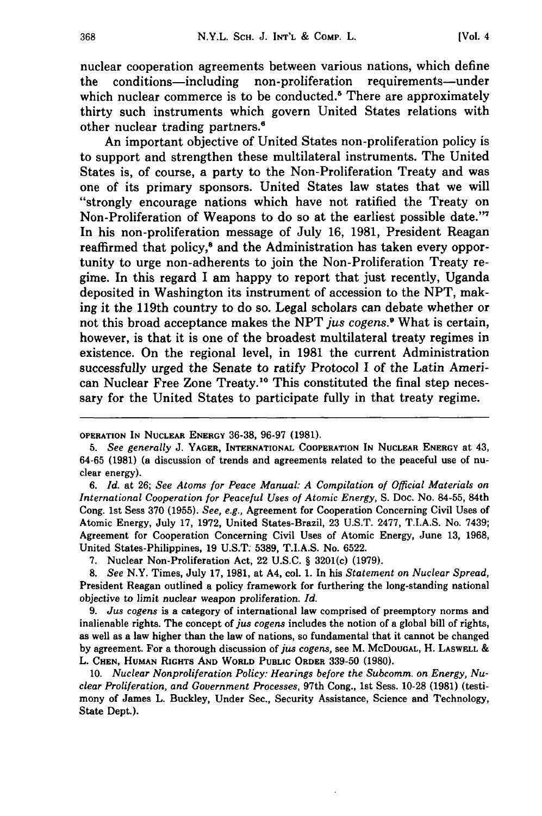nuclear cooperation agreements between various nations, which define the conditions-including non-proliferation requirements-under which nuclear commerce is to be conducted.<sup>5</sup> There are approximately thirty such instruments which govern United States relations with other nuclear trading partners.'

An important objective of United States non-proliferation policy is to support and strengthen these multilateral instruments. The United States is, of course, a party to the Non-Proliferation Treaty and was one of its primary sponsors. United States law states that we will "strongly encourage nations which have not ratified the Treaty on Non-Proliferation of Weapons to do so at the earliest possible date."7 In his non-proliferation message of July **16, 1981,** President Reagan reaffirmed that policy,<sup>8</sup> and the Administration has taken every opportunity to urge non-adherents to join the Non-Proliferation Treaty regime. In this regard **I** am happy to report that just recently, Uganda deposited in Washington its instrument of accession to the **NPT,** making it the 119th country to do so. Legal scholars can debate whether or not this broad acceptance makes the **NPT** *jus cogens <sup>9</sup>*What is certain, however, is that it is one of the broadest multilateral treaty regimes in existence. On the regional level, in **1981** the current Administration successfully urged the Senate to ratify Protocol **I** of the Latin American Nuclear Free Zone Treaty." This constituted the final step necessary for the United States to participate fully in that treaty regime.

**OPERATION IN NUCLEAR ENERGY 36-38, 96-97 (1981).**

*<sup>5.</sup> See generally* **J. YAGER, INTERNATIONAL COOPERATION IN NUCLEAR ENERGY at** 43, **64-65 (1981)** (a discussion of trends and agreements related to the peaceful use of nuclear energy).

*<sup>6.</sup> Id.* at **26;** *See Atoms for Peace Manual: A Compilation of Official Materials on International Cooperation for Peaceful Uses of Atomic Energy,* **S.** Doc. No. 84-55, 84th Cong. 1st Sess **370 (1955).** *See, e.g.,* Agreement for Cooperation Concerning Civil Uses of Atomic Energy, July **17, 1972,** United States-Brazil, **23 U.S.T. 2477,** T.I.A.S. No. **7439;** Agreement for Cooperation Concerning Civil Uses of Atomic Energy, June **13, 1968,** United States-Philippines, **19 U.S.T. 5389,** T.I.A.S. No. **6522.**

**<sup>7.</sup>** Nuclear Non-Proliferation Act, 22 **U.S.C. §** 3201(c) **(1979).**

*<sup>8.</sup> See* N.Y. Times, July **17, 1981,** at A4, col. **1.** In his *Statement on Nuclear Spread,* President Reagan outlined a policy framework for furthering the long-standing national objective to limit nuclear weapon proliferation. *Id.*

**<sup>9.</sup>** *Jus cogens* is a category of international law comprised of preemptory norms and inalienable rights. The concept of *jus cogens* includes the notion of a global bill of rights, as well as a law higher than the law of nations, so fundamental that it cannot be changed **by** agreement. For a thorough discussion of *jus cogens,* see M. **McDOUGAL,** H. **LASWELL &** L. **CHEN, HUMAN RIGHTS AND WORLD PUBLIC ORDER 339-50 (1980).**

**<sup>10.</sup>** *Nuclear Nonproliferation Policy: Hearings before the Subcomm. on Energy, Nuclear Proliferation, and Government Processes,* 97th Cong., 1st Sess. **10-28 (1981) (testimony of James** L. Buckley, Under Sec., Security Assistance, Science and Technology, State Dept.).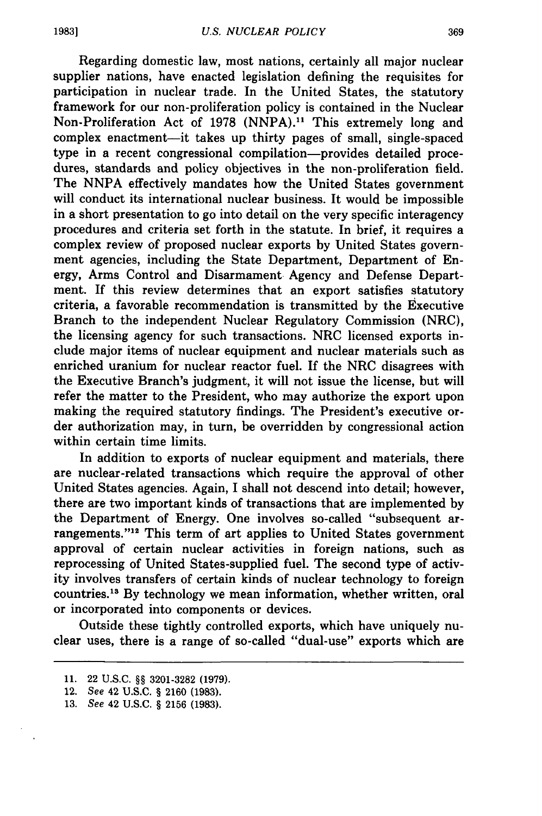Regarding domestic law, most nations, certainly all major nuclear supplier nations, have enacted legislation defining the requisites for participation in nuclear trade. In the United States, the statutory framework for our non-proliferation policy is contained in the Nuclear Non-Proliferation Act of 1978 (NNPA)." This extremely long and complex enactment—it takes up thirty pages of small, single-spaced type in a recent congressional compilation-provides detailed procedures, standards and policy objectives in the non-proliferation field. The NNPA effectively mandates how the United States government will conduct its international nuclear business. It would be impossible in a short presentation to go into detail on the very specific interagency procedures and criteria set forth in the statute. In brief, it requires a complex review of proposed nuclear exports by United States government agencies, including the State Department, Department of Energy, Arms Control and Disarmament Agency and Defense Department. If this review determines that an export satisfies statutory criteria, a favorable recommendation is transmitted **by** the Executive Branch to the independent Nuclear Regulatory Commission (NRC), the licensing agency for such transactions. NRC licensed exports include major items of nuclear equipment and nuclear materials such as enriched uranium for nuclear reactor fuel. If the NRC disagrees with the Executive Branch's judgment, it will not issue the license, but will refer the matter to the President, who may authorize the export upon making the required statutory findings. The President's executive order authorization may, in turn, be overridden by congressional action within certain time limits.

In addition to exports of nuclear equipment and materials, there are nuclear-related transactions which require the approval of other United States agencies. Again, I shall not descend into detail; however, there are two important kinds of transactions that are implemented by the Department of Energy. One involves so-called "subsequent arrangements."12 This term of art applies to United States government approval of certain nuclear activities in foreign nations, such as reprocessing of United States-supplied fuel. The second type of activity involves transfers of certain kinds of nuclear technology to foreign countries.<sup>13</sup> By technology we mean information, whether written, oral or incorporated into components or devices.

Outside these tightly controlled exports, which have uniquely nuclear uses, there is a range of so-called "dual-use" exports which are

<sup>11. 22</sup> U.S.C. §§ 3201-3282 (1979).

<sup>12.</sup> See 42 U.S.C. **§** 2160 (1983).

<sup>13.</sup> See 42 U.S.C. § 2156 (1983).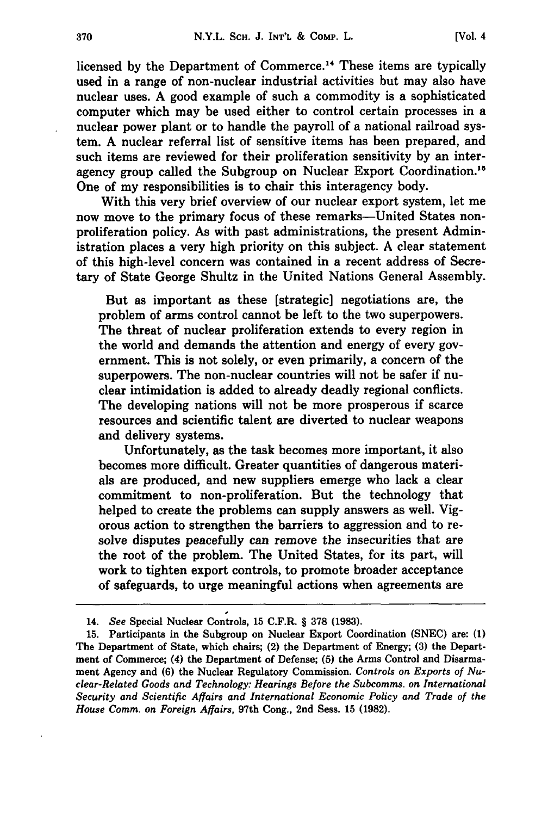licensed **by** the Department of Commerce. 14 These items are typically used in a range of non-nuclear industrial activities but may also have nuclear uses. **A** good example of such a commodity is a sophisticated computer which may be used either to control certain processes in a nuclear power plant or to handle the payroll of a national railroad system. **A** nuclear referral list of sensitive items has been prepared, and such items are reviewed for their proliferation sensitivity **by** an interagency group called the Subgroup on Nuclear Export Coordination.<sup>15</sup> One of my responsibilities is to chair this interagency body.

With this very brief overview of our nuclear export system, let me now move to the primary focus of these remarks—United States nonproliferation policy. As with past administrations, the present Administration places a very high priority on this subject. **A** clear statement of this high-level concern was contained in a recent address of Secretary of State George Shultz in the United Nations General Assembly.

But as important as these [strategic] negotiations are, the problem of arms control cannot be left to the two superpowers. The threat of nuclear proliferation extends to every region in the world and demands the attention and energy of every government. This is not solely, or even primarily, a concern of the superpowers. The non-nuclear countries will not be safer if nuclear intimidation is added to already deadly regional conflicts. The developing nations will not be more prosperous if scarce resources and scientific talent are diverted to nuclear weapons and delivery systems.

Unfortunately, as the task becomes more important, it also becomes more difficult. Greater quantities of dangerous materials are produced, and new suppliers emerge who lack a clear commitment to non-proliferation. But the technology that helped to create the problems can supply answers as well. Vigorous action to strengthen the barriers to aggression and to resolve disputes peacefully can remove the insecurities that are the root of the problem. The United States, for its part, will work to tighten export controls, to promote broader acceptance of safeguards, to urge meaningful actions when agreements are

<sup>14.</sup> *See* Special Nuclear Controls, **15** C.F.R. § **378 (1983).**

**<sup>15.</sup>** Participants in the Subgroup on Nuclear Export Coordination **(SNEC)** are: **(1)** The Department of State, which chairs; (2) the Department of Energy; **(3)** the Department of Commerce; (4) the Department of Defense; **(5)** the Arms Control and Disarmament Agency and **(6)** the Nuclear Regulatory Commission. *Controls on Exports of Nuclear-Related Goods and Technology: Hearings Before the Subcomms. on International Security and Scientific Affairs and International Economic Policy and Trade of the House Comm. on Foreign Affairs,* 97th Cong., 2nd Sess. **15 (1982).**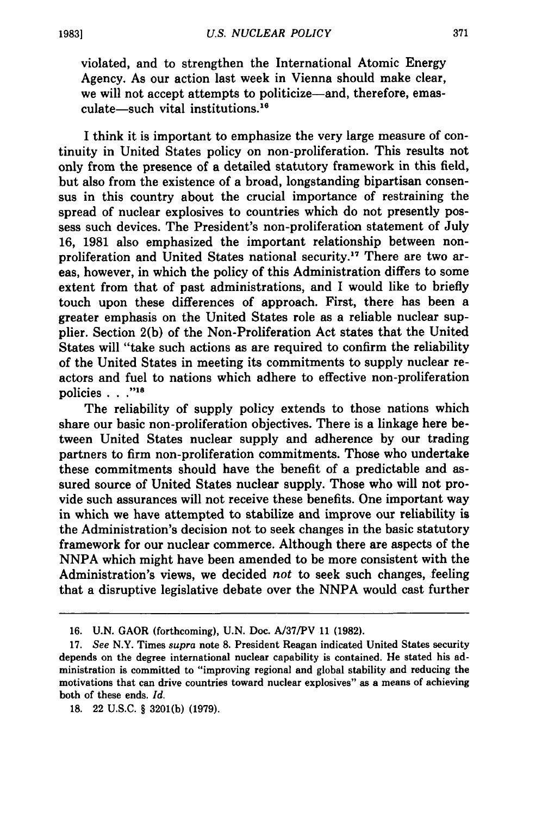violated, and to strengthen the International Atomic Energy Agency. As our action last week in Vienna should make clear, we will not accept attempts to politicize—and, therefore, emas $culate$ -such vital institutions.<sup>16</sup>

I think it is important to emphasize the very large measure of continuity in United States policy on non-proliferation. This results not only from the presence of a detailed statutory framework in this field, but also from the existence of a broad, longstanding bipartisan consensus in this country about the crucial importance of restraining the spread of nuclear explosives to countries which do not presently possess such devices. The President's non-proliferation statement of July 16, 1981 also emphasized the important relationship between nonproliferation and United States national security.<sup>17</sup> There are two areas, however, in which the policy of this Administration differs to some extent from that of past administrations, and I would like to briefly touch upon these differences of approach. First, there has been a greater emphasis on the United States role as a reliable nuclear supplier. Section **2(b)** of the Non-Proliferation Act states that the United States will "take such actions as are required to confirm the reliability of the United States in meeting its commitments to supply nuclear reactors and fuel to nations which adhere to effective non-proliferation policies **. . ."18**

The reliability of supply policy extends to those nations which share our basic non-proliferation objectives. There is a linkage here between United States nuclear supply and adherence **by** our trading partners to firm non-proliferation commitments. Those who undertake these commitments should have the benefit of a predictable and assured source of United States nuclear supply. Those who will not provide such assurances will not receive these benefits. One important way in which we have attempted to stabilize and improve our reliability is the Administration's decision not to seek changes in the basic statutory framework for our nuclear commerce. Although there are aspects of the NNPA which might have been amended to be more consistent with the Administration's views, we decided *not* to seek such changes, feeling that a disruptive legislative debate over the NNPA would cast further

**<sup>16.</sup>** U.N. GAOR (forthcoming), **U.N.** Doc. **A/37/PV 11 (1982).**

**<sup>17.</sup>** *See* N.Y. Times *supra* note **8.** President Reagan indicated United States security depends on the degree international nuclear capability is contained. He stated his administration is committed to "improving regional and global stability and reducing the motivations that can drive countries toward nuclear explosives" as a means of achieving both of these ends. *Id.*

**<sup>18.</sup>** 22 **U.S.C.** § **3201(b) (1979).**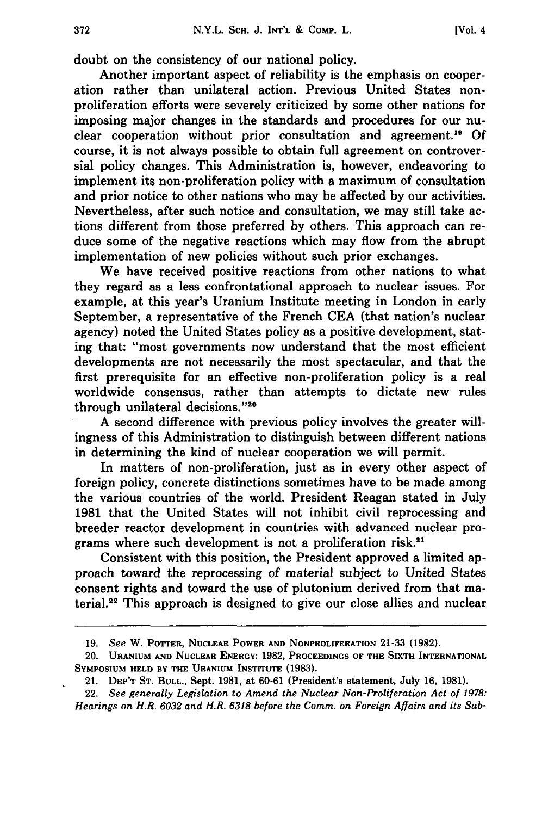doubt on the consistency of our national policy.

Another important aspect of reliability is the emphasis on cooperation rather than unilateral action. Previous United States nonproliferation efforts were severely criticized **by** some other nations for imposing major changes in the standards and procedures for our nuclear cooperation without prior consultation and agreement.<sup>19</sup> Of course, it is not always possible to obtain full agreement on controversial policy changes. This Administration is, however, endeavoring to implement its non-proliferation policy with a maximum of consultation and prior notice to other nations who may be affected **by** our activities. Nevertheless, after such notice and consultation, we may still take actions different from those preferred **by** others. This approach can reduce some of the negative reactions which may flow from the abrupt implementation of new policies without such prior exchanges.

We have received positive reactions from other nations to what they regard as a less confrontational approach to nuclear issues. For example, at this year's Uranium Institute meeting in London in early September, a representative of the French **CEA** (that nation's nuclear agency) noted the United States policy as a positive development, stating that: "most governments now understand that the most efficient developments are not necessarily the most spectacular, and that the first prerequisite for an effective non-proliferation policy is a real worldwide consensus, rather than attempts to dictate new rules through unilateral decisions."20

**A** second difference with previous policy involves the greater willingness of this Administration to distinguish between different nations in determining the kind of nuclear cooperation we will permit.

In matters of non-proliferation, just as in every other aspect of foreign policy, concrete distinctions sometimes have to be made among the various countries of the world. President Reagan stated in July **1981** that the United States will not inhibit civil reprocessing and breeder reactor development in countries with advanced nuclear programs where such development is not a proliferation risk.<sup>2</sup>

Consistent with this position, the President approved a limited approach toward the reprocessing of material subject to United States consent rights and toward the use of plutonium derived from that material.<sup>22</sup> This approach is designed to give our close allies and nuclear

**<sup>19.</sup>** *See* W. POTTER, **NUCLEAR** POWER **AND** NONPROLIFERATION **21-33 (1982).**

<sup>20.</sup> **URANIUM AND** NUCLEAR ENERGY: **1982, PROCEEDINGS OF THE SIXTH** INTERNATIONAL **SYMPOSIUM HELD BY THE URANIUM INSTITUTE (1983).**

<sup>21.</sup> **DEP'T ST. BULL.,** Sept. **1981,** at **60-61** (President's statement, July **16, 1981).**

<sup>22.</sup> *See generally Legislation to Amend the Nuclear Non-Proliferation Act of 1978: Hearings on H.R. 6032 and H.R. 6318 before the Comm. on Foreign Affairs and its Sub-*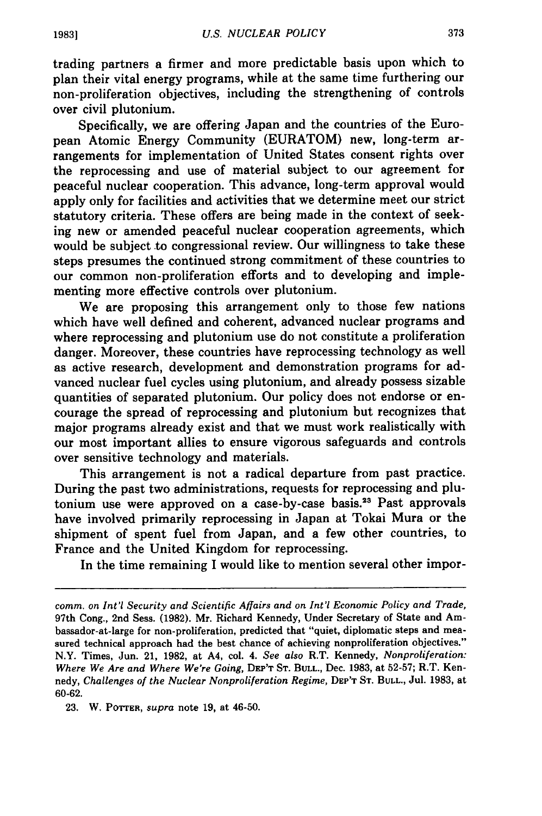trading partners a firmer and more predictable basis upon which to plan their vital energy programs, while at the same time furthering our non-proliferation objectives, including the strengthening of controls over civil plutonium.

Specifically, we are offering Japan and the countries of the European Atomic Energy Community (EURATOM) new, long-term arrangements for implementation of United States consent rights over the reprocessing and use of material subject to our agreement for peaceful nuclear cooperation. This advance, long-term approval would apply only for facilities and activities that we determine meet our strict statutory criteria. These offers are being made in the context of seeking new or amended peaceful nuclear cooperation agreements, which would be subject **.to** congressional review. Our willingness to take these steps presumes the continued strong commitment of these countries to our common non-proliferation efforts and to developing and implementing more effective controls over plutonium.

We are proposing this arrangement only to those few nations which have well defined and coherent, advanced nuclear programs and where reprocessing and plutonium use do not constitute a proliferation danger. Moreover, these countries have reprocessing technology as well as active research, development and demonstration programs for advanced nuclear fuel cycles using plutonium, and already possess sizable quantities of separated plutonium. Our policy does not endorse or encourage the spread of reprocessing and plutonium but recognizes that major programs already exist and that we must work realistically with our most important allies to ensure vigorous safeguards and controls over sensitive technology and materials.

This arrangement is not a radical departure from past practice. During the past two administrations, requests for reprocessing and plutonium use were approved on a case-by-case basis.<sup>23</sup> Past approvals have involved primarily reprocessing in Japan at Tokai Mura or the shipment of spent fuel from Japan, and a few other countries, to France and the United Kingdom for reprocessing.

In the time remaining I would like to mention several other impor-

*comm. on Int'l Security and Scientific Affairs and on Int'l Economic Policy and Trade,* 97th Cong., 2nd Sess. (1982). Mr. Richard Kennedy, Under Secretary of State and Ambassador-at-large for non-proliferation, predicted that "quiet, diplomatic steps and measured technical approach had the best chance of achieving nonproliferation objectives." N.Y. Times, Jun. 21, 1982, at A4, col. 4. *See also* R.T. Kennedy, *Nonproliferation: Where We Are and Where We're Going,* **DEP'T ST. BULL.,** Dec. 1983, at 52-57; R.T. Kennedy, *Challenges of the Nuclear Nonproliferation Regime,* **DEP'T ST. BULL.,** Jul. 1983, at 60-62.

<sup>23.</sup> W. POTTER, *supra* note 19, at 46-50.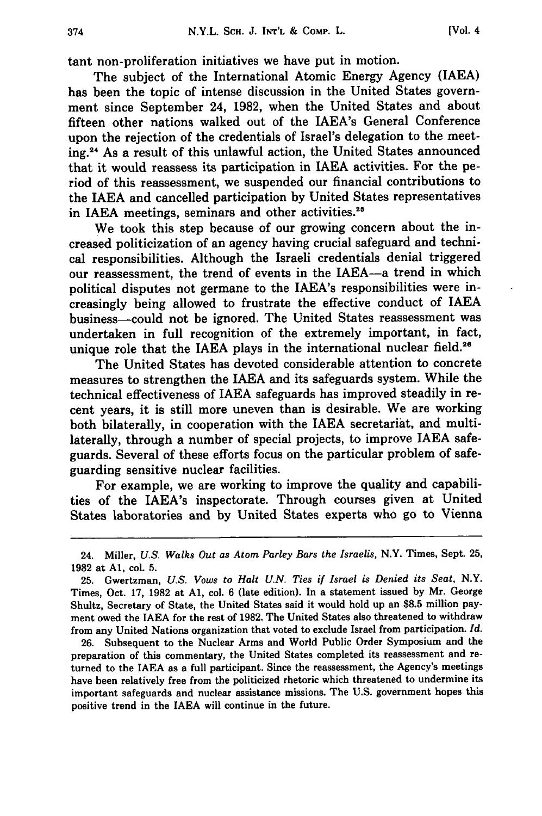tant non-proliferation initiatives we have put in motion.

The subject of the International Atomic Energy Agency (IAEA) has been the topic of intense discussion in the United States government since September 24, **1982,** when the United States and about fifteen other nations walked out of the IAEA's General Conference upon the rejection of the credentials of Israel's delegation to the meeting.24 As a result of this unlawful action, the United States announced that it would reassess its participation in **IAEA** activities. For the period of this reassessment, we suspended our financial contributions to the IAEA and cancelled participation **by** United States representatives in IAEA meetings, seminars and other activities.<sup>25</sup>

We took this step because of our growing concern about the increased politicization of an agency having crucial safeguard and technical responsibilities. Although the Israeli credentials denial triggered our reassessment, the trend of events in the IAEA-a trend in which political disputes not germane to the IAEA's responsibilities were increasingly being allowed to frustrate the effective conduct of IAEA business-could not be ignored. The United States reassessment was undertaken in full recognition of the extremely important, in fact, unique role that the IAEA plays in the international nuclear field.<sup>26</sup>

The United States has devoted considerable attention to concrete measures to strengthen the IAEA and its safeguards system. While the technical effectiveness of IAEA safeguards has improved steadily in recent years, it is still more uneven than is desirable. We are working both bilaterally, in cooperation with the IAEA secretariat, and multilaterally, through a number of special projects, to improve **IAEA** safeguards. Several of these efforts focus on the particular problem of safeguarding sensitive nuclear facilities.

For example, we are working to improve the quality and capabilities of the IAEA's inspectorate. Through courses given at United States laboratories and **by** United States experts who go to Vienna

**26.** Subsequent to the Nuclear Arms and World Public Order Symposium and the preparation of this commentary, the United States completed its reassessment and returned to the IAEA as a full participant. Since the reassessment, the Agency's meetings have been relatively free from the politicized rhetoric which threatened to undermine its important safeguards and nuclear assistance missions. The **U.S.** government hopes this positive trend in the IAEA will continue in the future.

<sup>24.</sup> Miller, *U.S. Walks Out as Atom Parley Bars the Israelis,* N.Y. Times, Sept. **25, 1982** at **Al,** col. **5.**

**<sup>25.</sup>** Gwertzman, *U.S. Vows to Halt U.N. Ties if Israel is Denied its Seat,* N.Y. Times, Oct. **17, 1982** at **Al,** col. **6** (late edition). In a statement issued **by** Mr. George Shultz, Secretary of State, the United States said it would hold up an **\$8.5** million payment owed the IAEA for the rest of **1982.** The United States also threatened to withdraw from any United Nations organization that voted to exclude Israel from participation. *Id.*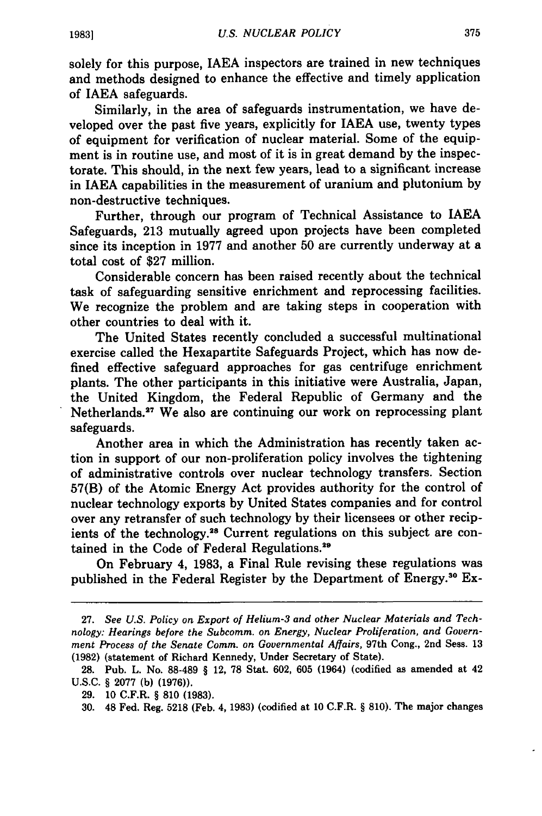solely for this purpose, IAEA inspectors are trained in new techniques and methods designed to enhance the effective and timely application of IAEA safeguards.

Similarly, in the area of safeguards instrumentation, we have developed over the past five years, explicitly for IAEA use, twenty types of equipment for verification of nuclear material. Some of the equipment is in routine use, and most of it is in great demand **by** the inspectorate. This should, in the next few years, lead to a significant increase in IAEA capabilities in the measurement of uranium and plutonium **by** non-destructive techniques.

Further, through our program of Technical Assistance to **IAEA** Safeguards, **213** mutually agreed upon projects have been completed since its inception in **1977** and another **50** are currently underway at a total cost of **\$27** million.

Considerable concern has been raised recently about the technical task of safeguarding sensitive enrichment and reprocessing facilities. We recognize the problem and are taking steps in cooperation with other countries to deal with it.

The United States recently concluded a successful multinational exercise called the Hexapartite Safeguards Project, which has now defined effective safeguard approaches for gas centrifuge enrichment plants. The other participants in this initiative were Australia, Japan, the United Kingdom, the Federal Republic of Germany and the Netherlands.<sup>27</sup> We also are continuing our work on reprocessing plant safeguards.

Another area in which the Administration has recently taken action in support of our non-proliferation policy involves the tightening of administrative controls over nuclear technology transfers. Section **57(B)** of the Atomic Energy Act provides authority for the control of nuclear technology exports **by** United States companies and for control over any retransfer of such technology **by** their licensees or other recipients of the technology.<sup>28</sup> Current regulations on this subject are contained in the Code of Federal Regulations.<sup>29</sup>

On February 4, **1983,** a Final Rule revising these regulations was published in the Federal Register by the Department of Energy.<sup>30</sup> Ex-

**<sup>27.</sup>** *See U.S. Policy on Export of Helium-3 and other Nuclear Materials and Technology: Hearings before the Subcomm. on Energy, Nuclear Proliferation, and Government Process of the Senate Comm. on Governmental Affairs,* 97th Cong., 2nd Sess. **13 (1982)** (statement of Richard Kennedy, Under Secretary of State).

**<sup>28.</sup>** Pub. L. No. **88-489** § 12, **78** Stat. **602, 605** (1964) (codified as amended at 42 **U.S.C.** § **2077 (b) (1976)).**

**<sup>29. 10</sup>** C.F.R. § **810 (1983).**

**<sup>30.</sup>** 48 Fed. Reg. **5218** (Feb. **4, 1983)** (codified at **10** C.F.R. § **810).** The major changes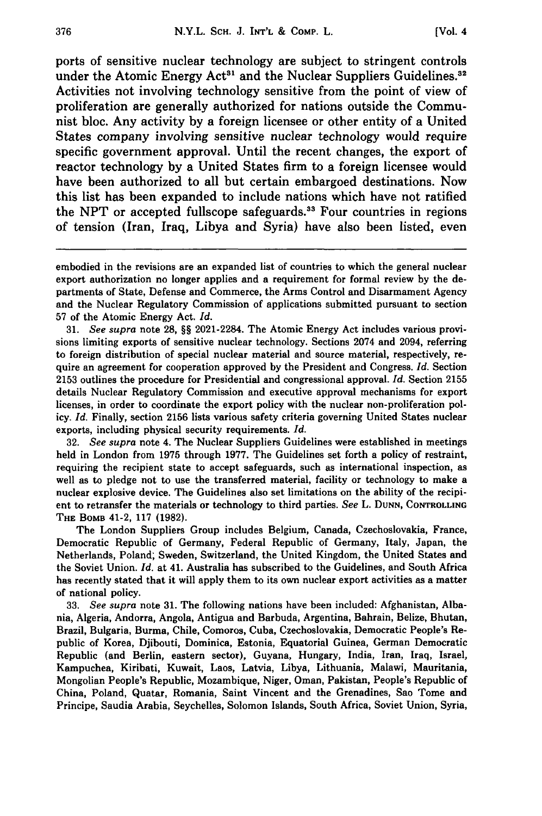ports of sensitive nuclear technology are subject to stringent controls under the Atomic Energy Act<sup>31</sup> and the Nuclear Suppliers Guidelines.<sup>32</sup> Activities not involving technology sensitive from the point of view of proliferation are generally authorized for nations outside the Communist bloc. Any activity by a foreign licensee or other entity of a United States company involving sensitive nuclear technology would require specific government approval. Until the recent changes, the export of reactor technology **by** a United States firm to a foreign licensee would have been authorized to all but certain embargoed destinations. Now this list has been expanded to include nations which have not ratified the **NPT** or accepted fullscope safeguards.3 " Four countries in regions of tension (Iran, Iraq, Libya and Syria) have also been listed, even

31. *See supra* note 28, §§ 2021-2284. The Atomic Energy Act includes various provisions limiting exports of sensitive nuclear technology. Sections 2074 and 2094, referring to foreign distribution of special nuclear material and source material, respectively, require an agreement for cooperation approved by the President and Congress. *Id.* Section 2153 outlines the procedure for Presidential and congressional approval. *Id.* Section 2155 details Nuclear Regulatory Commission and executive approval mechanisms for export licenses, in order to coordinate the export policy with the nuclear non-proliferation policy. *Id.* Finally, section 2156 lists various safety criteria governing United States nuclear exports, including physical security requirements. *Id.*

32. *See supra* note 4. The Nuclear Suppliers Guidelines were established in meetings held in London from 1975 through 1977. The Guidelines set forth a policy of restraint, requiring the recipient state to accept safeguards, such as international inspection, as well as to pledge not to use the transferred material, facility or technology to make a nuclear explosive device. The Guidelines also set limitations on the ability of the recipient to retransfer the materials or technology to third parties. *See* L. **DUNN, CONTROLLING THE BOMB** 41-2, **117 (1982).**

The London Suppliers Group includes Belgium, Canada, Czechoslovakia, France, Democratic Republic of Germany, Federal Republic of Germany, Italy, Japan, the Netherlands, Poland; Sweden, Switzerland, the United Kingdom, the United States and the Soviet Union. *Id.* at 41. Australia has subscribed to the Guidelines, and South Africa has recently stated that it will apply them to its own nuclear export activities as a matter of national policy.

**33.** *See supra* note **31.** The following nations have been included: Afghanistan, Albania, Algeria, Andorra, Angola, Antigua and Barbuda, Argentina, Bahrain, Belize, Bhutan, Brazil, Bulgaria, Burma, Chile, Comoros, Cuba, Czechoslovakia, Democratic People's Republic of Korea, Djibouti, Dominica, Estonia, Equatorial Guinea, German Democratic Republic (and Berlin, eastern sector), Guyana, Hungary, India, Iran, Iraq, Israel, Kampuchea, Kiribati, Kuwait, Laos, Latvia, Libya, Lithuania, Malawi, Mauritania, Mongolian People's Republic, Mozambique, Niger, Oman, Pakistan, People's Republic of China, Poland, Quatar, Romania, Saint Vincent and the Grenadines, Sao Tome and Principe, Saudis Arabia, Seychelles, Solomon Islands, South Africa, Soviet Union, Syria,

embodied in the revisions are an expanded list of countries to which the general nuclear export authorization no longer applies and a requirement for formal review by the departments of State, Defense and Commerce, the Arms Control and Disarmament Agency and the Nuclear Regulatory Commission of applications submitted pursuant to section 57 of the Atomic Energy Act. *Id.*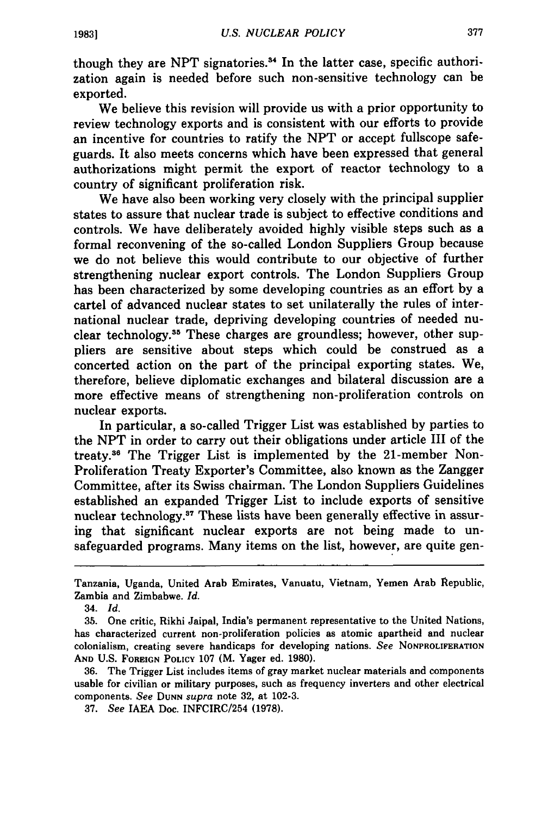though they are NPT signatories.<sup>34</sup> In the latter case, specific authorization again is needed before such non-sensitive technology can be exported.

We believe this revision will provide us with a prior opportunity to review technology exports and is consistent with our efforts to provide an incentive for countries to ratify the **NPT** or accept fullscope safeguards. It also meets concerns which have been expressed that general authorizations might permit the export of reactor technology to a country of significant proliferation risk.

We have also been working very closely with the principal supplier states to assure that nuclear trade is subject to effective conditions and controls. We have deliberately avoided highly visible steps such as a formal reconvening of the so-called London Suppliers Group because we do not believe this would contribute to our objective of further strengthening nuclear export controls. The London Suppliers Group has been characterized by some developing countries as an effort by a cartel of advanced nuclear states to set unilaterally the rules of international nuclear trade, depriving developing countries of needed nuclear technology.<sup>35</sup> These charges are groundless; however, other suppliers are sensitive about steps which could be construed as a concerted action on the part of the principal exporting states. We, therefore, believe diplomatic exchanges and bilateral discussion are a more effective means of strengthening non-proliferation controls on nuclear exports.

In particular, a so-called Trigger List was established by parties to the NPT in order to carry out their obligations under article III of the treaty.36 The Trigger List is implemented by the 21-member Non-Proliferation Treaty Exporter's Committee, also known as the Zangger Committee, after its Swiss chairman. The London Suppliers Guidelines established an expanded Trigger List to include exports of sensitive nuclear technology.<sup>37</sup> These lists have been generally effective in assuring that significant nuclear exports are not being made to unsafeguarded programs. Many items on the list, however, are quite gen-

Tanzania, Uganda, United Arab Emirates, Vanuatu, Vietnam, Yemen Arab Republic, Zambia and Zimbabwe. *Id.*

<sup>34.</sup> *Id.*

<sup>35.</sup> One critic, Rikhi Jaipal, India's permanent representative to the United Nations, has characterized current non-proliferation policies as atomic apartheid and nuclear colonialism, creating severe handicaps for developing nations. *See* **NONPROLIFERATION AND U.S. FOREIGN POLICY 107** (M. Yager ed. **1980).**

**<sup>36.</sup>** The Trigger List includes items of gray market nuclear materials and components usable for civilian or military purposes, such as frequency inverters and other electrical components. *See* **DUNN** *supra* note **32,** at **102-3.**

**<sup>37.</sup>** *See* **IAEA** Doc. INFCIRC/254 **(1978).**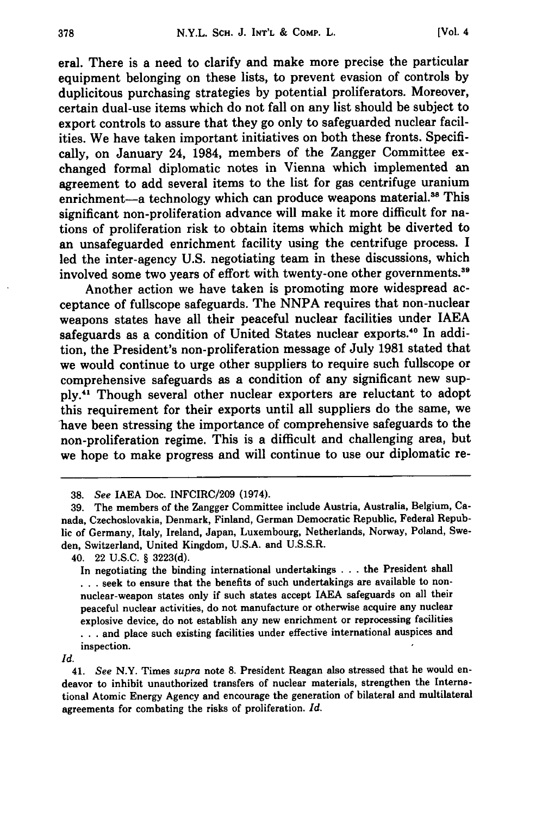eral. There is a need to clarify and make more precise the particular equipment belonging on these lists, to prevent evasion of controls **by** duplicitous purchasing strategies **by** potential proliferators. Moreover, certain dual-use items which do not fall on any list should be subject to export controls to assure that they go only to safeguarded nuclear facilities. We have taken important initiatives on both these fronts. Specifically, on January 24, 1984, members of the Zangger Committee exchanged formal diplomatic notes in Vienna which implemented an agreement to add several items to the list for gas centrifuge uranium enrichment-a technology which can produce weapons material.<sup>38</sup> This significant non-proliferation advance will make it more difficult for nations of proliferation risk to obtain items which might be diverted to an unsafeguarded enrichment facility using the centrifuge process. **I** led the inter-agency **U.S.** negotiating team in these discussions, which involved some two years of effort with twenty-one other governments.<sup>39</sup>

Another action we have taken is promoting more widespread acceptance of fullscope safeguards. The **NNPA** requires that non-nuclear weapons states have all their peaceful nuclear facilities under **IAEA** safeguards as a condition of United States nuclear exports.<sup>40</sup> In addition, the President's non-proliferation message of July **1981** stated that we would continue to urge other suppliers to require such fullscope or comprehensive safeguards as a condition of any significant new sup**ply.<sup>4</sup> '** Though several other nuclear exporters are reluctant to adopt this requirement for their exports until all suppliers do the same, we have been stressing the importance of comprehensive safeguards to the non-proliferation regime. This is a difficult and challenging area, but we hope to make progress and will continue to use our diplomatic re-

**<sup>38.</sup>** *See* **IAEA** Doc. INFCIRC/209 (1974).

**<sup>39.</sup>** The members of the Zangger Committee include Austria, Australia, Belgium, Canada, Czechoslovakia, Denmark, Finland, German Democratic Republic, Federal Republic of Germany, Italy, Ireland, Japan, Luxembourg, Netherlands, Norway, Poland, Sweden, Switzerland, United Kingdom, **U.S.A.** and **U.S.S.R.**

<sup>40. 22</sup> **U.S.C.** § **3223(d).**

In negotiating the binding international undertakings **. . .** the President shall **...** seek to ensure that the benefits of such undertakings are available to nonnuclear-weapon states only if such states accept **IAEA** safeguards on all their peaceful nuclear activities, do not manufacture or otherwise acquire any nuclear explosive device, do not establish any new enrichment or reprocessing facilities **...** and place such existing facilities under effective international auspices and

inspection.

*Id.*

<sup>41.</sup> *See* N.Y. Times *supra* note **8.** President Reagan also stressed that he would endeavor to inhibit unauthorized transfers of nuclear materials, strengthen the International Atomic Energy Agency and encourage the generation of bilateral and multilateral agreements for combating the risks of proliferation. *Id.*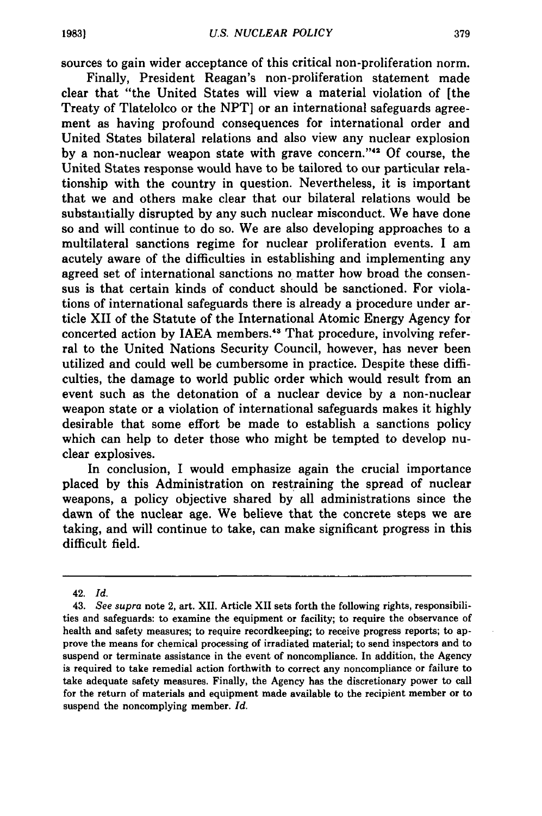sources to gain wider acceptance of this critical non-proliferation norm.

Finally, President Reagan's non-proliferation statement made clear that "the United States will view a material violation of [the Treaty of Tlatelolco or the **NPT]** or an international safeguards agreement as having profound consequences for international order and United States bilateral relations and also view any nuclear explosion **by** a non-nuclear weapon state with grave concern.""2 **Of** course, the United States response would have to be tailored to our particular relationship with the country in question. Nevertheless, it is important that we and others make clear that our bilateral relations would be substantially disrupted **by** any such nuclear misconduct. We have done so and will continue to do so. We are also developing approaches to a multilateral sanctions regime for nuclear proliferation events. I am acutely aware of the difficulties in establishing and implementing any agreed set of international sanctions no matter how broad the consensus is that certain kinds of conduct should be sanctioned. For violations of international safeguards there is already a procedure under article XII of the Statute of the International Atomic Energy Agency for concerted action by IAEA members.<sup>43</sup> That procedure, involving referral to the United Nations Security Council, however, has never been utilized and could well be cumbersome in practice. Despite these difficulties, the damage to world public order which would result from an event such as the detonation of a nuclear device **by** a non-nuclear weapon state or a violation of international safeguards makes it **highly** desirable that some effort be made to establish a sanctions policy which can help to deter those who might be tempted to develop nuclear explosives.

In conclusion, I would emphasize again the crucial importance placed **by** this Administration on restraining the spread of nuclear weapons, a policy objective shared **by** all administrations since the dawn of the nuclear age. We believe that the concrete steps we are taking, and will continue to take, can make significant progress in this difficult field.

<sup>42.</sup> *Id.*

<sup>43.</sup> *See supra* note 2, art. XII. Article XII sets forth the following rights, responsibilities and safeguards: to examine the equipment or facility; to require the observance of health and safety measures; to require recordkeeping; to receive progress reports; to approve the means for chemical processing of irradiated material; to send inspectors and to suspend or terminate assistance in the event of noncompliance. In addition, the Agency is required to take remedial action forthwith to correct any noncompliance or failure to take adequate safety measures. Finally, the Agency has the discretionary power to call for the return of materials and equipment made available to the recipient member or to suspend the noncomplying member. *Id.*